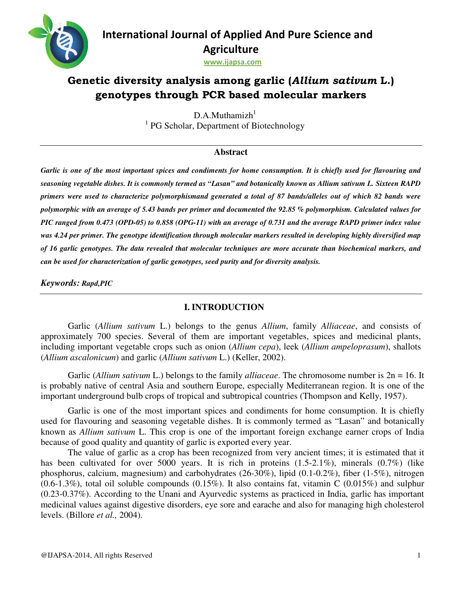

# Genetic diversity analysis among garlic (Allium sativum L.) **genotypes through genotypes through PCR based molecular markers**

<sup>1</sup> PG Scholar, Department of Biotechnology  $D.A.Muthamizh<sup>1</sup>$ 

# **Abstract**

*Garlic is one of the most important spices and condiments for home consumption. It is chiefly used for flavouring flavouring and seasoning vegetable dishes. It is commonly termed as "Lasan" and botanically known as Allium sativum L. L. Sixteen RAPD seasoning vegetable dishes. It is commonly termed as "Lasan" and botanically known as Allium sativum L. Sixteen RAPD<br>primers were used to characterize polymorphismand generated a total of 87 bands/alleles out of which 82 polymorphic with an average of 5.43 bands per primer and documented the 92.85 % polymorphism. Calculated values for 5.43 % polymorphism. for PIC ranged from 0.473 (OPD-05) to 0.858 (OPG-11) with an average of 0.731 and the average RAPD primer index value was 4.24 per primer. The genotype identificat The genotype identification through molecular markers resulted in developing highly diversified map ion molecular markers map of 16 garlic genotypes. The data revealed that molecular techniques are more accurate than biochemical markers, and molecular are more biochemical markers, and can be used for characterization of garlic genotypes, seed purit can be seed purity and for diversity analysis.*  **Example 11 (Alternational Journal of Applied And Pure Science and<br>
Agriculture<br>
sorewastigations and gradient (Altitum scatiousm L.)<br>
genotypes through PCR based molecular markers<br>
<sup>19</sup><sup>1</sup><sup>1</sup><sup>1</sup><sup>2</sup> Scholar, Department of** 

*Keywords: Rapd,PIC* 

# **I. INTRODUCTION**

Garlic (Allium sativum L.) belongs to the genus Allium, family Alliaceae, and consists of approximately 700 species. Several of them are important vegetables, spices and medicinal plants, approximately 700 species. Several of them are important vegetables, spices and medicinal plants, including important vegetable crops such as onion *(Allium cepa)*, leek *(Allium ampeloprasum)*, shallots (*Allium ascalonicum*) and garlic (*Allium sativum* L.) (Keller, 2002).

Garlic (*Allium sativum* L.) belongs to the family *alliaceae*. The chromosome number is  $2n = 16$ . It is probably native of central Asia and southern Europe, especially Mediterranean region. It is one of the is probably native of central Asia and southern Europe, especially Mediterranean region. It is one o<br>important underground bulb crops of tropical and subtropical countries (Thompson and Kelly, 1957).

Garlic is one of the most important spices and condiments for home consumption. It is chiefly used for flavouring and seasoning vegetable dishes. It is commonly termed as "Lasan" and botanically known as *Allium sativum* L. This crop is one of the important foreign exchange earner crops of India because of good quality and quantity of garlic is exported every year. ic is one of the most important spices and condiments for home consumption. It is chiefly<br>vouring and seasoning vegetable dishes. It is commonly termed as "Lasan" and botanically<br>*llium sativum* L. This crop is one of the

The value of garlic as a crop has been recognized from very ancient times; it is estimated that it has been cultivated for over 5000 years. It is rich in proteins  $(1.5-2.1\%)$ , minerals  $(0.7\%)$  (like has been cultivated for over 5000 years. It is rich in proteins (1.5-2.1%), minerals (0.7%) (like phosphorus, calcium, magnesium) and carbohydrates (26-30%), lipid (0.1-0.2%), fiber (1-5%), nitrogen  $(0.6-1.3\%)$ , total oil soluble compounds  $(0.15\%)$ . It also contains fat, vitamin C  $(0.015\%)$  and sulphur (0.23-0.37%). According to the Unani and Ayurvedic systems as practiced in India, garlic has important medicinal values against digestive disorders, eye sore and earache and also for managing high cholesterol levels. (Billore *et al.,* 2004).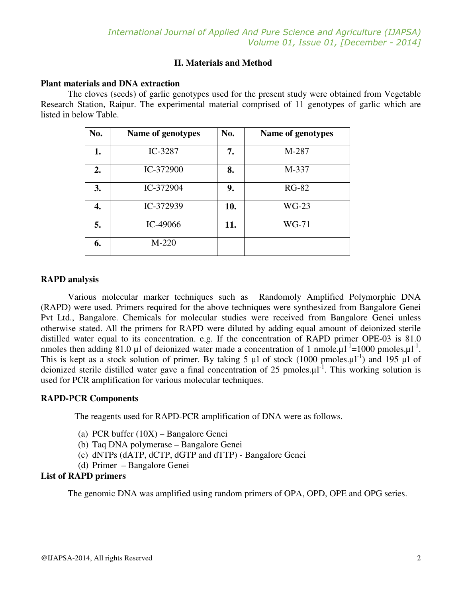## **II. Materials and Method**

#### **Plant materials and DNA extraction**

The cloves (seeds) of garlic genotypes used for the present study were obtained from Vegetable Research Station, Raipur. The experimental material comprised of 11 genotypes of garlic which are listed in below Table.

| No. | Name of genotypes | No. | Name of genotypes |
|-----|-------------------|-----|-------------------|
| 1.  | IC-3287           | 7.  | M-287             |
| 2.  | IC-372900         | 8.  | M-337             |
| 3.  | IC-372904         | 9.  | <b>RG-82</b>      |
| 4.  | IC-372939         | 10. | $WG-23$           |
| 5.  | IC-49066          | 11. | WG-71             |
| 6.  | $M-220$           |     |                   |

#### **RAPD analysis**

Various molecular marker techniques such as Randomoly Amplified Polymorphic DNA (RAPD) were used. Primers required for the above techniques were synthesized from Bangalore Genei Pvt Ltd., Bangalore. Chemicals for molecular studies were received from Bangalore Genei unless otherwise stated. All the primers for RAPD were diluted by adding equal amount of deionized sterile distilled water equal to its concentration. e.g. If the concentration of RAPD primer OPE-03 is 81.0 nmoles then adding 81.0 µl of deionized water made a concentration of 1 nmole. $\mu I^{-1}$ =1000 pmoles. $\mu I^{-1}$ . This is kept as a stock solution of primer. By taking 5  $\mu$ l of stock (1000 pmoles. $\mu$ l<sup>-1</sup>) and 195  $\mu$ l of deionized sterile distilled water gave a final concentration of 25 pmoles. $\mu$ l<sup>-1</sup>. This working solution is used for PCR amplification for various molecular techniques.

## **RAPD-PCR Components**

The reagents used for RAPD-PCR amplification of DNA were as follows.

- (a) PCR buffer (10X) Bangalore Genei
- (b) Taq DNA polymerase Bangalore Genei
- (c) dNTPs (dATP, dCTP, dGTP and dTTP) Bangalore Genei
- (d) Primer Bangalore Genei

## **List of RAPD primers**

The genomic DNA was amplified using random primers of OPA, OPD, OPE and OPG series.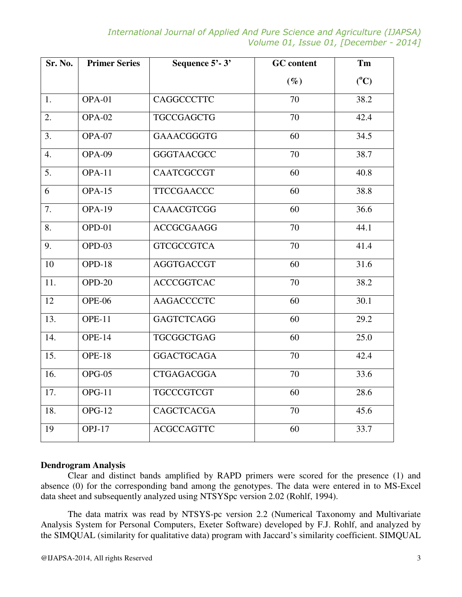*International Journal of Applied And Pure Science and Agriculture (IJAPSA) Volume 01, Issue 01, [December - 2014]* 

| Sr. No.          | <b>Primer Series</b> | Sequence 5'-3'    | <b>GC</b> content | Tm      |  |
|------------------|----------------------|-------------------|-------------------|---------|--|
|                  |                      |                   | $(\%)$            | $(^0C)$ |  |
| 1.               | OPA-01               | <b>CAGGCCCTTC</b> | 70                | 38.2    |  |
| 2.               | <b>OPA-02</b>        | <b>TGCCGAGCTG</b> | 70                | 42.4    |  |
| 3.               | <b>OPA-07</b>        | GAAACGGGTG        | 60                | 34.5    |  |
| $\overline{4}$ . | OPA-09               | <b>GGGTAACGCC</b> | 70                | 38.7    |  |
| 5.               | <b>OPA-11</b>        | <b>CAATCGCCGT</b> | 60                | 40.8    |  |
| 6                | <b>OPA-15</b>        | <b>TTCCGAACCC</b> | 60                | 38.8    |  |
| 7.               | <b>OPA-19</b>        | <b>CAAACGTCGG</b> | 60                | 36.6    |  |
| 8.               | $OPD-01$             | <b>ACCGCGAAGG</b> | 70                | 44.1    |  |
| 9.               | OPD-03               | <b>GTCGCCGTCA</b> | 70                | 41.4    |  |
| 10               | OPD-18               | <b>AGGTGACCGT</b> | 60                | 31.6    |  |
| 11.              | $OPD-20$             | <b>ACCCGGTCAC</b> | 70                | 38.2    |  |
| 12               | OPE-06               | <b>AAGACCCCTC</b> | 60                | 30.1    |  |
| 13.              | <b>OPE-11</b>        | <b>GAGTCTCAGG</b> | 60                | 29.2    |  |
| 14.              | <b>OPE-14</b>        | <b>TGCGGCTGAG</b> | 60                | 25.0    |  |
| 15.              | <b>OPE-18</b>        | <b>GGACTGCAGA</b> | 70                | 42.4    |  |
| 16.              | $OPG-05$             | <b>CTGAGACGGA</b> | 70                | 33.6    |  |
| 17.              | $OPG-11$             | <b>TGCCCGTCGT</b> | 60                | 28.6    |  |
| 18.              | $OPG-12$             | <b>CAGCTCACGA</b> | 70                | 45.6    |  |
| 19               | $OPJ-17$             | <b>ACGCCAGTTC</b> | 60                | 33.7    |  |

#### **Dendrogram Analysis**

Clear and distinct bands amplified by RAPD primers were scored for the presence (1) and absence (0) for the corresponding band among the genotypes. The data were entered in to MS-Excel data sheet and subsequently analyzed using NTSYSpc version 2.02 (Rohlf, 1994).

The data matrix was read by NTSYS-pc version 2.2 (Numerical Taxonomy and Multivariate Analysis System for Personal Computers, Exeter Software) developed by F.J. Rohlf, and analyzed by the SIMQUAL (similarity for qualitative data) program with Jaccard's similarity coefficient. SIMQUAL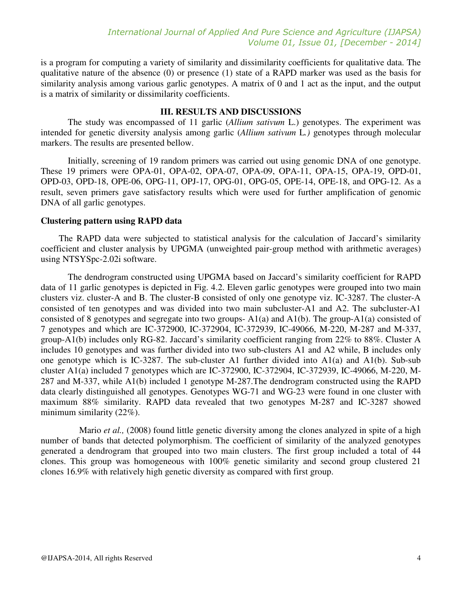is a program for computing a variety of similarity and dissimilarity coefficients for qualitative data. The qualitative nature of the absence (0) or presence (1) state of a RAPD marker was used as the basis for similarity analysis among various garlic genotypes. A matrix of 0 and 1 act as the input, and the output is a matrix of similarity or dissimilarity coefficients.

## **III. RESULTS AND DISCUSSIONS**

The study was encompassed of 11 garlic (*Allium sativum* L.) genotypes. The experiment was intended for genetic diversity analysis among garlic (*Allium sativum* L*.)* genotypes through molecular markers. The results are presented bellow.

Initially, screening of 19 random primers was carried out using genomic DNA of one genotype. These 19 primers were OPA-01, OPA-02, OPA-07, OPA-09, OPA-11, OPA-15, OPA-19, OPD-01, OPD-03, OPD-18, OPE-06, OPG-11, OPJ-17, OPG-01, OPG-05, OPE-14, OPE-18, and OPG-12. As a result, seven primers gave satisfactory results which were used for further amplification of genomic DNA of all garlic genotypes.

#### **Clustering pattern using RAPD data**

 The RAPD data were subjected to statistical analysis for the calculation of Jaccard's similarity coefficient and cluster analysis by UPGMA (unweighted pair-group method with arithmetic averages) using NTSYSpc-2.02i software.

The dendrogram constructed using UPGMA based on Jaccard's similarity coefficient for RAPD data of 11 garlic genotypes is depicted in Fig. 4.2. Eleven garlic genotypes were grouped into two main clusters viz. cluster-A and B. The cluster-B consisted of only one genotype viz. IC-3287. The cluster-A consisted of ten genotypes and was divided into two main subcluster-A1 and A2. The subcluster-A1 consisted of 8 genotypes and segregate into two groups- A1(a) and A1(b). The group-A1(a) consisted of 7 genotypes and which are IC-372900, IC-372904, IC-372939, IC-49066, M-220, M-287 and M-337, group-A1(b) includes only RG-82. Jaccard's similarity coefficient ranging from 22% to 88%. Cluster A includes 10 genotypes and was further divided into two sub-clusters A1 and A2 while, B includes only one genotype which is IC-3287. The sub-cluster A1 further divided into  $A1(a)$  and  $A1(b)$ . Sub-sub cluster A1(a) included 7 genotypes which are IC-372900, IC-372904, IC-372939, IC-49066, M-220, M-287 and M-337, while A1(b) included 1 genotype M-287.The dendrogram constructed using the RAPD data clearly distinguished all genotypes. Genotypes WG-71 and WG-23 were found in one cluster with maximum 88% similarity. RAPD data revealed that two genotypes M-287 and IC-3287 showed minimum similarity (22%).

 Mario *et al.,* (2008) found little genetic diversity among the clones analyzed in spite of a high number of bands that detected polymorphism. The coefficient of similarity of the analyzed genotypes generated a dendrogram that grouped into two main clusters. The first group included a total of 44 clones. This group was homogeneous with 100% genetic similarity and second group clustered 21 clones 16.9% with relatively high genetic diversity as compared with first group.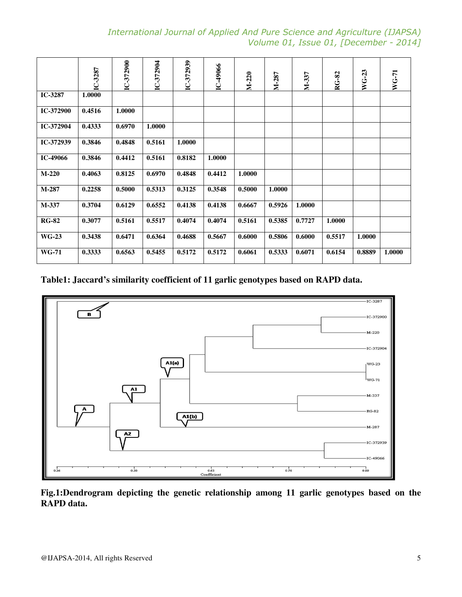*International Journal of Applied And Pure Science and Agriculture (IJAPSA) Volume 01, Issue 01, [December - 2014]* 

|                                                                                            | IC-3287                           | C-372900   | IC-372904 | $C-372939$ | $C-49066$   | M-220  | NI-287 | M-337  | RG-82  | WG-23                       | WG-71  |
|--------------------------------------------------------------------------------------------|-----------------------------------|------------|-----------|------------|-------------|--------|--------|--------|--------|-----------------------------|--------|
| IC-3287                                                                                    | 1.0000                            |            |           |            |             |        |        |        |        |                             |        |
| IC-372900                                                                                  | 0.4516                            | 1.0000     |           |            |             |        |        |        |        |                             |        |
| IC-372904                                                                                  | 0.4333                            | 0.6970     | 1.0000    |            |             |        |        |        |        |                             |        |
| IC-372939                                                                                  | 0.3846                            | 0.4848     | 0.5161    | 1.0000     |             |        |        |        |        |                             |        |
| IC-49066                                                                                   | 0.3846                            | 0.4412     | 0.5161    | 0.8182     | 1.0000      |        |        |        |        |                             |        |
| $M-220$                                                                                    | 0.4063                            | 0.8125     | 0.6970    | 0.4848     | 0.4412      | 1.0000 |        |        |        |                             |        |
| $M-287$                                                                                    | 0.2258                            | 0.5000     | 0.5313    | 0.3125     | 0.3548      | 0.5000 | 1.0000 |        |        |                             |        |
| M-337                                                                                      | 0.3704                            | 0.6129     | 0.6552    | 0.4138     | 0.4138      | 0.6667 | 0.5926 | 1.0000 |        |                             |        |
| <b>RG-82</b>                                                                               | 0.3077                            | 0.5161     | 0.5517    | 0.4074     | 0.4074      | 0.5161 | 0.5385 | 0.7727 | 1.0000 |                             |        |
| <b>WG-23</b>                                                                               | 0.3438                            | 0.6471     | 0.6364    | 0.4688     | 0.5667      | 0.6000 | 0.5806 | 0.6000 | 0.5517 | 1.0000                      |        |
| <b>WG-71</b>                                                                               | 0.3333                            | 0.6563     | 0.5455    | 0.5172     | 0.5172      | 0.6061 | 0.5333 | 0.6071 | 0.6154 | 0.8889                      | 1.0000 |
|                                                                                            |                                   | ${\bf A1}$ |           | A1(a)      |             |        |        |        |        | IC-372904<br>WG-23<br>WG-71 |        |
|                                                                                            |                                   |            |           |            |             |        |        |        |        | M-337                       |        |
|                                                                                            |                                   |            |           | AI(b)      |             |        |        |        |        | <b>RG-82</b>                |        |
|                                                                                            |                                   | A2         |           |            |             |        |        |        |        | M-287                       |        |
|                                                                                            |                                   |            |           |            |             |        |        |        |        | IC-372939                   |        |
| 0.36                                                                                       |                                   | 0.50       |           |            | 0.63        |        | 0.76   |        |        | IC-49066<br>0.89            |        |
|                                                                                            |                                   |            |           |            | Coefficient |        |        |        |        |                             |        |
| Fig.1:Dendrogram depicting the genetic relationship among 11 garlic genotypes based on the |                                   |            |           |            |             |        |        |        |        |                             |        |
| RAPD data.                                                                                 |                                   |            |           |            |             |        |        |        |        |                             |        |
|                                                                                            |                                   |            |           |            |             |        |        |        |        |                             |        |
|                                                                                            |                                   |            |           |            |             |        |        |        |        |                             |        |
|                                                                                            | @IJAPSA-2014, All rights Reserved |            |           |            |             |        |        |        |        |                             |        |

# **Table1: Jaccard's similarity coefficient of 11 garlic genotypes based on RAPD data.**